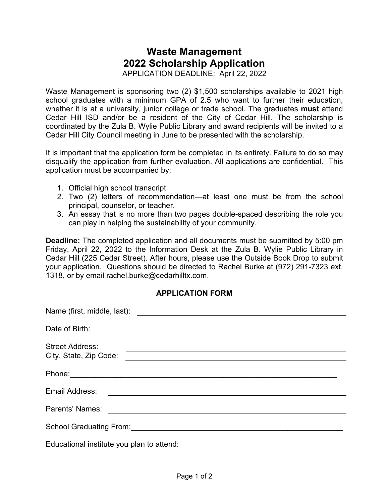## **Waste Management 2022 Scholarship Application**

APPLICATION DEADLINE: April 22, 2022

Waste Management is sponsoring two (2) \$1,500 scholarships available to 2021 high school graduates with a minimum GPA of 2.5 who want to further their education, whether it is at a university, junior college or trade school. The graduates **must** attend Cedar Hill ISD and/or be a resident of the City of Cedar Hill. The scholarship is coordinated by the Zula B. Wylie Public Library and award recipients will be invited to a Cedar Hill City Council meeting in June to be presented with the scholarship.

It is important that the application form be completed in its entirety. Failure to do so may disqualify the application from further evaluation. All applications are confidential. This application must be accompanied by:

- 1. Official high school transcript
- 2. Two (2) letters of recommendation—at least one must be from the school principal, counselor, or teacher.
- 3. An essay that is no more than two pages double-spaced describing the role you can play in helping the sustainability of your community.

**Deadline:** The completed application and all documents must be submitted by 5:00 pm Friday, April 22, 2022 to the Information Desk at the Zula B. Wylie Public Library in Cedar Hill (225 Cedar Street). After hours, please use the Outside Book Drop to submit your application. Questions should be directed to Rachel Burke at (972) 291-7323 ext. 1318, or by email rachel.burke@cedarhilltx.com.

## **APPLICATION FORM**

| Date of Birth:<br><u> Alexandria de la contrada de la contrada de la contrada de la contrada de la contrada de la contrada de la c</u> |
|----------------------------------------------------------------------------------------------------------------------------------------|
| <b>Street Address:</b><br>City, State, Zip Code:                                                                                       |
|                                                                                                                                        |
| Email Address:<br><u> 1989 - Andrea Stadt Britain, fransk politik (f. 1989)</u>                                                        |
| Parents' Names:                                                                                                                        |
|                                                                                                                                        |
|                                                                                                                                        |